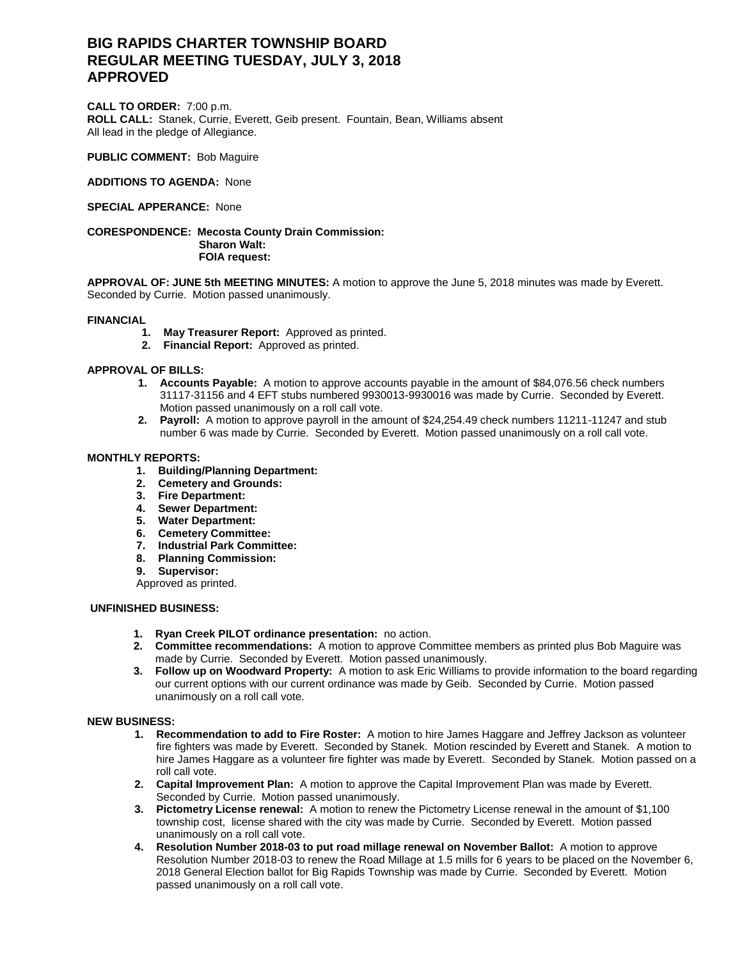# **BIG RAPIDS CHARTER TOWNSHIP BOARD REGULAR MEETING TUESDAY, JULY 3, 2018 APPROVED**

**CALL TO ORDER:** 7:00 p.m. **ROLL CALL:** Stanek, Currie, Everett, Geib present. Fountain, Bean, Williams absent All lead in the pledge of Allegiance.

**PUBLIC COMMENT:** Bob Maguire

**ADDITIONS TO AGENDA:** None

# **SPECIAL APPERANCE:** None

#### **CORESPONDENCE: Mecosta County Drain Commission: Sharon Walt: FOIA request:**

**APPROVAL OF: JUNE 5th MEETING MINUTES:** A motion to approve the June 5, 2018 minutes was made by Everett. Seconded by Currie. Motion passed unanimously.

## **FINANCIAL**

- **1. May Treasurer Report:** Approved as printed.
- **2. Financial Report:** Approved as printed.

# **APPROVAL OF BILLS:**

- **1. Accounts Payable:** A motion to approve accounts payable in the amount of \$84,076.56 check numbers 31117-31156 and 4 EFT stubs numbered 9930013-9930016 was made by Currie. Seconded by Everett. Motion passed unanimously on a roll call vote.
- **2. Payroll:** A motion to approve payroll in the amount of \$24,254.49 check numbers 11211-11247 and stub number 6 was made by Currie. Seconded by Everett. Motion passed unanimously on a roll call vote.

## **MONTHLY REPORTS:**

- **1. Building/Planning Department:**
- **2. Cemetery and Grounds:**
- **3. Fire Department:**
- **4. Sewer Department:**
- **5. Water Department:**
- **6. Cemetery Committee:**
- **7. Industrial Park Committee:**
- **8. Planning Commission:**
- **9. Supervisor:**

Approved as printed.

## **UNFINISHED BUSINESS:**

- **1. Ryan Creek PILOT ordinance presentation:** no action.
- **2. Committee recommendations:** A motion to approve Committee members as printed plus Bob Maguire was made by Currie. Seconded by Everett. Motion passed unanimously.
- **3. Follow up on Woodward Property:** A motion to ask Eric Williams to provide information to the board regarding our current options with our current ordinance was made by Geib. Seconded by Currie. Motion passed unanimously on a roll call vote.

## **NEW BUSINESS:**

- **1. Recommendation to add to Fire Roster:** A motion to hire James Haggare and Jeffrey Jackson as volunteer fire fighters was made by Everett. Seconded by Stanek. Motion rescinded by Everett and Stanek. A motion to hire James Haggare as a volunteer fire fighter was made by Everett. Seconded by Stanek. Motion passed on a roll call vote.
- **2. Capital Improvement Plan:** A motion to approve the Capital Improvement Plan was made by Everett. Seconded by Currie. Motion passed unanimously.
- **3. Pictometry License renewal:** A motion to renew the Pictometry License renewal in the amount of \$1,100 township cost, license shared with the city was made by Currie. Seconded by Everett. Motion passed unanimously on a roll call vote.
- **4. Resolution Number 2018-03 to put road millage renewal on November Ballot:** A motion to approve Resolution Number 2018-03 to renew the Road Millage at 1.5 mills for 6 years to be placed on the November 6, 2018 General Election ballot for Big Rapids Township was made by Currie. Seconded by Everett. Motion passed unanimously on a roll call vote.